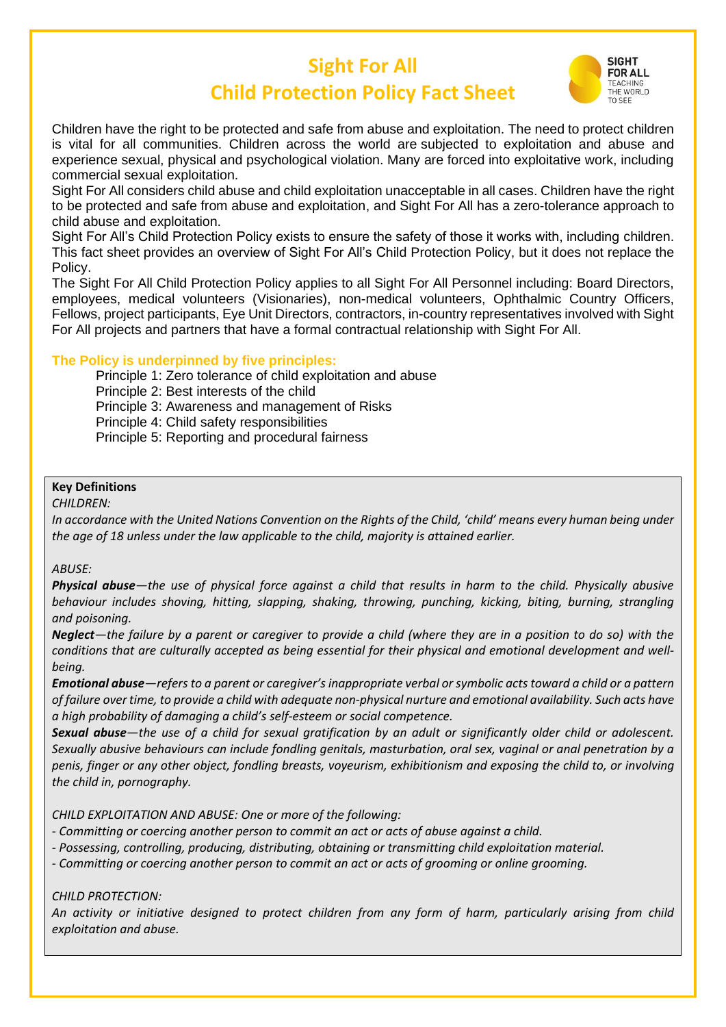# **Sight For All Child Protection Policy Fact Sheet**



Children have the right to be protected and safe from abuse and exploitation. The need to protect children is vital for all communities. Children across the world are subjected to exploitation and abuse and experience sexual, physical and psychological violation. Many are forced into exploitative work, including commercial sexual exploitation.

Sight For All considers child abuse and child exploitation unacceptable in all cases. Children have the right to be protected and safe from abuse and exploitation, and Sight For All has a zero-tolerance approach to child abuse and exploitation.

Sight For All's Child Protection Policy exists to ensure the safety of those it works with, including children. This fact sheet provides an overview of Sight For All's Child Protection Policy, but it does not replace the Policy.

The Sight For All Child Protection Policy applies to all Sight For All Personnel including: Board Directors, employees, medical volunteers (Visionaries), non-medical volunteers, Ophthalmic Country Officers, Fellows, project participants, Eye Unit Directors, contractors, in-country representatives involved with Sight For All projects and partners that have a formal contractual relationship with Sight For All.

# **The Policy is underpinned by five principles:**

Principle 1: Zero tolerance of child exploitation and abuse

Principle 2: Best interests of the child

Principle 3: Awareness and management of Risks

Principle 4: Child safety responsibilities

Principle 5: Reporting and procedural fairness

### **Key Definitions**

*CHILDREN:*

*In accordance with the United Nations Convention on the Rights of the Child, 'child' means every human being under the age of 18 unless under the law applicable to the child, majority is attained earlier.*

#### *ABUSE:*

*Physical abuse—the use of physical force against a child that results in harm to the child. Physically abusive behaviour includes shoving, hitting, slapping, shaking, throwing, punching, kicking, biting, burning, strangling and poisoning.*

*Neglect—the failure by a parent or caregiver to provide a child (where they are in a position to do so) with the conditions that are culturally accepted as being essential for their physical and emotional development and wellbeing.*

*Emotional abuse—refers to a parent or caregiver's inappropriate verbal or symbolic acts toward a child or a pattern of failure over time, to provide a child with adequate non-physical nurture and emotional availability. Such acts have a high probability of damaging a child's self-esteem or social competence.*

*Sexual abuse—the use of a child for sexual gratification by an adult or significantly older child or adolescent. Sexually abusive behaviours can include fondling genitals, masturbation, oral sex, vaginal or anal penetration by a penis, finger or any other object, fondling breasts, voyeurism, exhibitionism and exposing the child to, or involving the child in, pornography.*

*CHILD EXPLOITATION AND ABUSE: One or more of the following:*

*- Committing or coercing another person to commit an act or acts of abuse against a child.*

*- Possessing, controlling, producing, distributing, obtaining or transmitting child exploitation material.*

*- Committing or coercing another person to commit an act or acts of grooming or online grooming.*

*CHILD PROTECTION:*

*An activity or initiative designed to protect children from any form of harm, particularly arising from child exploitation and abuse.*